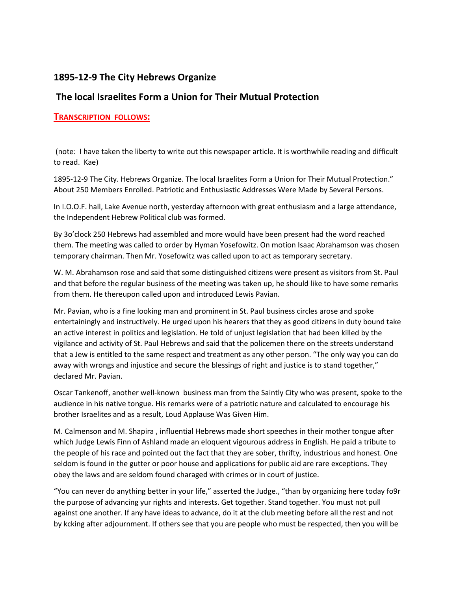## **1895-12-9 The City Hebrews Organize**

## **The local Israelites Form a Union for Their Mutual Protection**

## **TRANSCRIPTION FOLLOWS:**

(note: I have taken the liberty to write out this newspaper article. It is worthwhile reading and difficult to read. Kae)

1895-12-9 The City. Hebrews Organize. The local Israelites Form a Union for Their Mutual Protection." About 250 Members Enrolled. Patriotic and Enthusiastic Addresses Were Made by Several Persons.

In I.O.O.F. hall, Lake Avenue north, yesterday afternoon with great enthusiasm and a large attendance, the Independent Hebrew Political club was formed.

By 3o'clock 250 Hebrews had assembled and more would have been present had the word reached them. The meeting was called to order by Hyman Yosefowitz. On motion Isaac Abrahamson was chosen temporary chairman. Then Mr. Yosefowitz was called upon to act as temporary secretary.

W. M. Abrahamson rose and said that some distinguished citizens were present as visitors from St. Paul and that before the regular business of the meeting was taken up, he should like to have some remarks from them. He thereupon called upon and introduced Lewis Pavian.

Mr. Pavian, who is a fine looking man and prominent in St. Paul business circles arose and spoke entertainingly and instructively. He urged upon his hearers that they as good citizens in duty bound take an active interest in politics and legislation. He told of unjust legislation that had been killed by the vigilance and activity of St. Paul Hebrews and said that the policemen there on the streets understand that a Jew is entitled to the same respect and treatment as any other person. "The only way you can do away with wrongs and injustice and secure the blessings of right and justice is to stand together," declared Mr. Pavian.

Oscar Tankenoff, another well-known business man from the Saintly City who was present, spoke to the audience in his native tongue. His remarks were of a patriotic nature and calculated to encourage his brother Israelites and as a result, Loud Applause Was Given Him.

M. Calmenson and M. Shapira , influential Hebrews made short speeches in their mother tongue after which Judge Lewis Finn of Ashland made an eloquent vigourous address in English. He paid a tribute to the people of his race and pointed out the fact that they are sober, thrifty, industrious and honest. One seldom is found in the gutter or poor house and applications for public aid are rare exceptions. They obey the laws and are seldom found charaged with crimes or in court of justice.

"You can never do anything better in your life," asserted the Judge., "than by organizing here today fo9r the purpose of advancing yur rights and interests. Get together. Stand together. You must not pull against one another. If any have ideas to advance, do it at the club meeting before all the rest and not by kcking after adjournment. If others see that you are people who must be respected, then you will be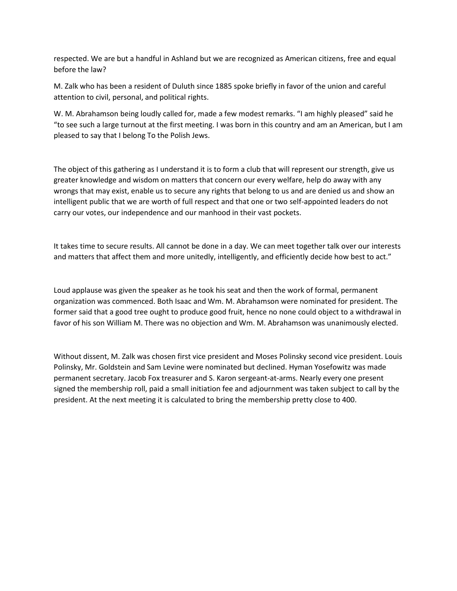respected. We are but a handful in Ashland but we are recognized as American citizens, free and equal before the law?

M. Zalk who has been a resident of Duluth since 1885 spoke briefly in favor of the union and careful attention to civil, personal, and political rights.

W. M. Abrahamson being loudly called for, made a few modest remarks. "I am highly pleased" said he "to see such a large turnout at the first meeting. I was born in this country and am an American, but I am pleased to say that I belong To the Polish Jews.

The object of this gathering as I understand it is to form a club that will represent our strength, give us greater knowledge and wisdom on matters that concern our every welfare, help do away with any wrongs that may exist, enable us to secure any rights that belong to us and are denied us and show an intelligent public that we are worth of full respect and that one or two self-appointed leaders do not carry our votes, our independence and our manhood in their vast pockets.

It takes time to secure results. All cannot be done in a day. We can meet together talk over our interests and matters that affect them and more unitedly, intelligently, and efficiently decide how best to act."

Loud applause was given the speaker as he took his seat and then the work of formal, permanent organization was commenced. Both Isaac and Wm. M. Abrahamson were nominated for president. The former said that a good tree ought to produce good fruit, hence no none could object to a withdrawal in favor of his son William M. There was no objection and Wm. M. Abrahamson was unanimously elected.

Without dissent, M. Zalk was chosen first vice president and Moses Polinsky second vice president. Louis Polinsky, Mr. Goldstein and Sam Levine were nominated but declined. Hyman Yosefowitz was made permanent secretary. Jacob Fox treasurer and S. Karon sergeant-at-arms. Nearly every one present signed the membership roll, paid a small initiation fee and adjournment was taken subject to call by the president. At the next meeting it is calculated to bring the membership pretty close to 400.